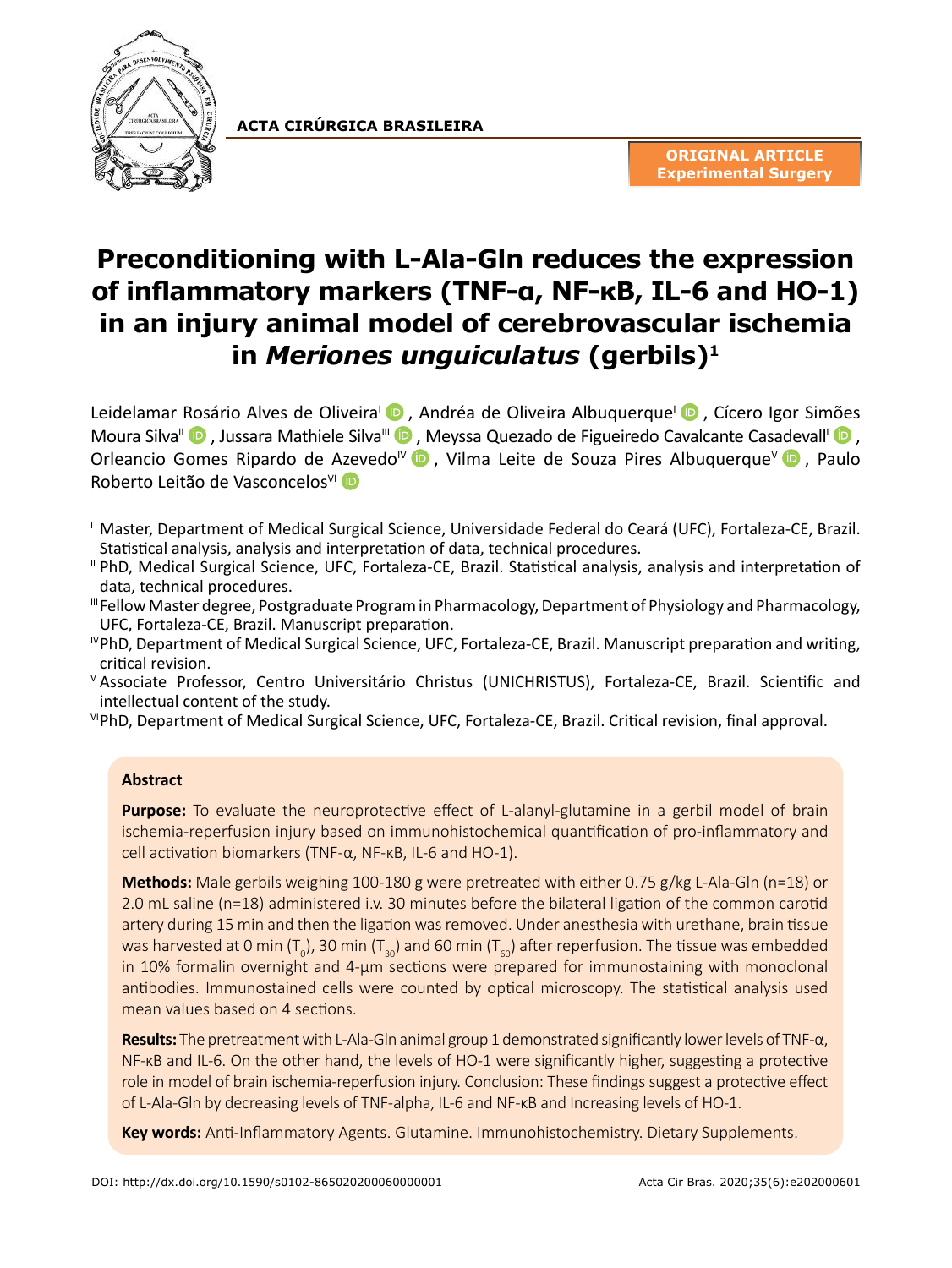

**ACTA CIRÚRGICA BRASILEIRA**

# **Preconditioning with L-Ala-Gln reduces the expression of inflammatory markers (TNF-α, NF-κB, IL-6 and HO-1) in an injury animal model of cerebrovascular ischemia in** *Meriones unguiculatus* **(gerbils)1**

Leidelamar [Ros](https://orcid.org/0000-0002-8418-5326)ário Alves de Oliveira<sup>l</sup> D[,](https://orcid.org/0000-0002-8210-9055) Andréa de Oliveira Albuquerque<sup>l</sup> D, Cícero Igor Si[mões](https://orcid.org/0000-0002-4732-5692) Moura Silva<sup>II</sup> **D**, Jussara Mathiele Silva<sup>III</sup> **D**[, M](https://orcid.org/0000-0003-4530-0093)eyssa Quezado de Figueiredo Cavalcante Cas[adev](https://orcid.org/0000-0002-3335-4599)all<sup>I</sup> D, Orleancio Gomes Ripardo de [Azev](https://orcid.org/0000-0002-3050-8441)edo<sup>IV</sup> **D**, Vilma Leite de Souza Pires Albuquerque<sup>V</sup> **D**, Paulo Roberto Leitão de Vasconcelos<sup>VI</sup> ID

- <sup>I</sup> Master, Department of Medical Surgical Science, Universidade Federal do Ceará (UFC), Fortaleza-CE, Brazil. Statistical analysis, analysis and interpretation of data, technical procedures.
- II PhD, Medical Surgical Science, UFC, Fortaleza-CE, Brazil. Statistical analysis, analysis and interpretation of data, technical procedures.
- IIIFellow Master degree, Postgraduate Program in Pharmacology, Department of Physiology and Pharmacology, UFC, Fortaleza-CE, Brazil. Manuscript preparation.
- IVPhD, Department of Medical Surgical Science, UFC, Fortaleza-CE, Brazil. Manuscript preparation and writing, critical revision.
- <sup>V</sup> Associate Professor, Centro Universitário Christus (UNICHRISTUS), Fortaleza-CE, Brazil. Scientific and intellectual content of the study.

VIPhD, Department of Medical Surgical Science, UFC, Fortaleza-CE, Brazil. Critical revision, final approval.

## **Abstract**

**Purpose:** To evaluate the neuroprotective effect of L-alanyl-glutamine in a gerbil model of brain ischemia-reperfusion injury based on immunohistochemical quantification of pro-inflammatory and cell activation biomarkers (TNF-α, NF-κB, IL-6 and HO-1).

**Methods:** Male gerbils weighing 100-180 g were pretreated with either 0.75 g/kg L-Ala-Gln (n=18) or 2.0 mL saline (n=18) administered i.v. 30 minutes before the bilateral ligation of the common carotid artery during 15 min and then the ligation was removed. Under anesthesia with urethane, brain tissue was harvested at 0 min (T<sub>0</sub>), 30 min (T<sub>30</sub>) and 60 min (T<sub>60</sub>) after reperfusion. The tissue was embedded in 10% formalin overnight and 4-μm sections were prepared for immunostaining with monoclonal antibodies. Immunostained cells were counted by optical microscopy. The statistical analysis used mean values based on 4 sections.

**Results:** The pretreatment with L-Ala-Gln animal group 1 demonstrated significantly lower levels of TNF-α, NF-KB and IL-6. On the other hand, the levels of HO-1 were significantly higher, suggesting a protective role in model of brain ischemia-reperfusion injury. Conclusion: These findings suggest a protective effect of L-Ala-Gln by decreasing levels of TNF-alpha, IL-6 and NF-κB and Increasing levels of HO-1.

**Key words:** Anti-Inflammatory Agents. Glutamine. Immunohistochemistry. Dietary Supplements.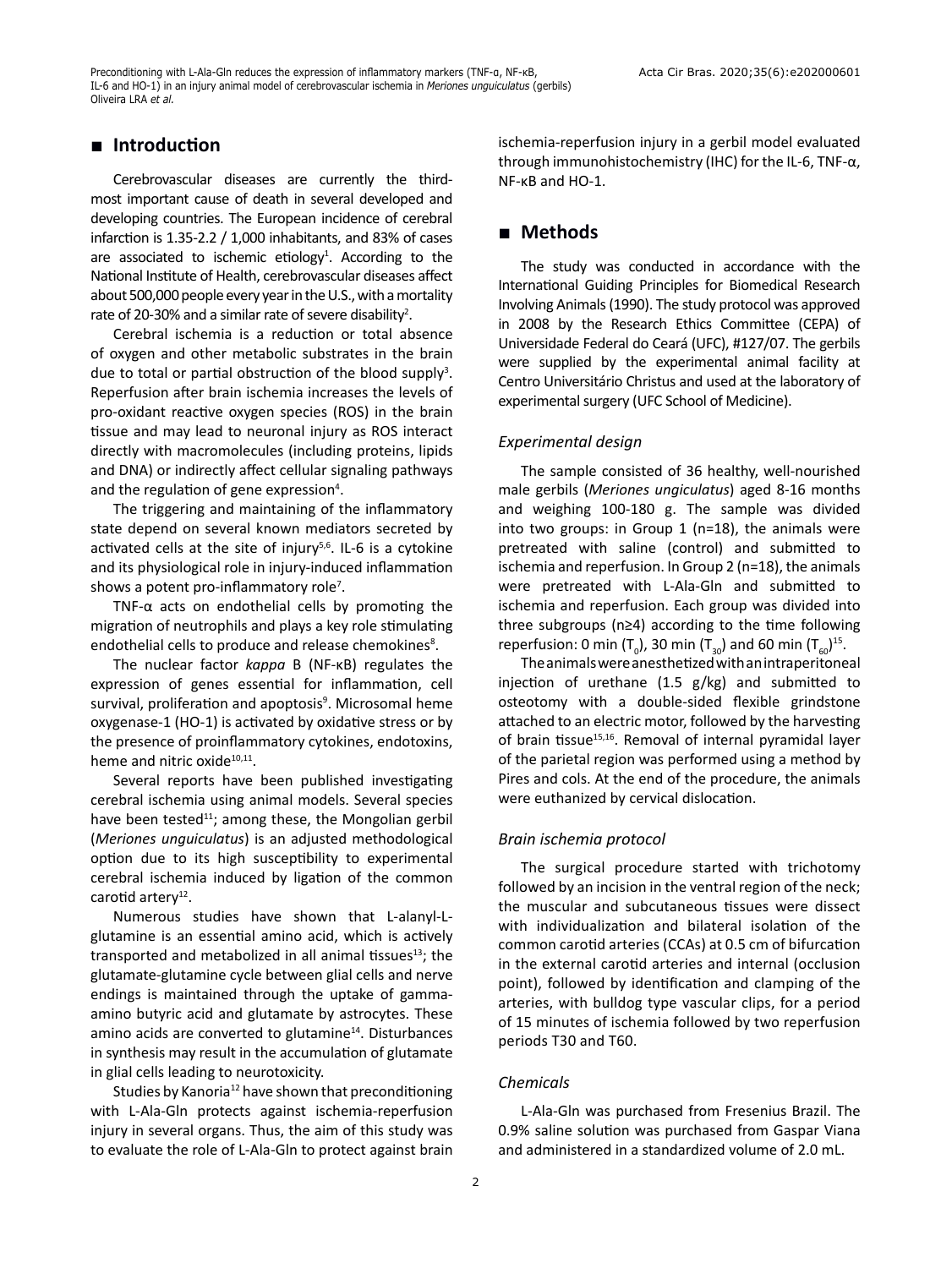## **■ Introduction**

Cerebrovascular diseases are currently the thirdmost important cause of death in several developed and developing countries. The European incidence of cerebral infarction is 1.35-2.2 / 1,000 inhabitants, and 83% of cases are associated to ischemic etiology<sup>1</sup>. According to the National Institute of Health, cerebrovascular diseases affect about 500,000 people every year in the U.S., with a mortality rate of 20-30% and a similar rate of severe disability<sup>2</sup>.

Cerebral ischemia is a reduction or total absence of oxygen and other metabolic substrates in the brain due to total or partial obstruction of the blood supply<sup>3</sup>. Reperfusion after brain ischemia increases the levels of pro-oxidant reactive oxygen species (ROS) in the brain tissue and may lead to neuronal injury as ROS interact directly with macromolecules (including proteins, lipids and DNA) or indirectly affect cellular signaling pathways and the regulation of gene expression<sup>4</sup>.

The triggering and maintaining of the inflammatory state depend on several known mediators secreted by activated cells at the site of injury $5,6$ . IL-6 is a cytokine and its physiological role in injury-induced inflammation shows a potent pro-inflammatory role<sup>7</sup>.

TNF- $\alpha$  acts on endothelial cells by promoting the migration of neutrophils and plays a key role stimulating endothelial cells to produce and release chemokines<sup>8</sup>.

The nuclear factor *kappa* B (NF-κB) regulates the expression of genes essential for inflammation, cell survival, proliferation and apoptosis<sup>9</sup>. Microsomal heme oxygenase-1 (HO-1) is activated by oxidative stress or by the presence of proinflammatory cytokines, endotoxins, heme and nitric oxide<sup>10,11</sup>.

Several reports have been published investigating cerebral ischemia using animal models. Several species have been tested<sup>11</sup>; among these, the Mongolian gerbil (*Meriones unguiculatus*) is an adjusted methodological option due to its high susceptibility to experimental cerebral ischemia induced by ligation of the common carotid artery<sup>12</sup>.

Numerous studies have shown that L-alanyl-Lglutamine is an essential amino acid, which is actively transported and metabolized in all animal tissues $^{13}$ ; the glutamate-glutamine cycle between glial cells and nerve endings is maintained through the uptake of gammaamino butyric acid and glutamate by astrocytes. These amino acids are converted to glutamine<sup>14</sup>. Disturbances in synthesis may result in the accumulation of glutamate in glial cells leading to neurotoxicity.

Studies by Kanoria<sup>12</sup> have shown that preconditioning with L-Ala-Gln protects against ischemia-reperfusion injury in several organs. Thus, the aim of this study was to evaluate the role of L-Ala-Gln to protect against brain ischemia-reperfusion injury in a gerbil model evaluated through immunohistochemistry (IHC) for the IL-6, TNF-α, NF-κB and HO-1.

## **■ Methods**

The study was conducted in accordance with the International Guiding Principles for Biomedical Research Involving Animals (1990). The study protocol was approved in 2008 by the Research Ethics Committee (CEPA) of Universidade Federal do Ceará (UFC), #127/07. The gerbils were supplied by the experimental animal facility at Centro Universitário Christus and used at the laboratory of experimental surgery (UFC School of Medicine).

#### *Experimental design*

The sample consisted of 36 healthy, well-nourished male gerbils (*Meriones ungiculatus*) aged 8-16 months and weighing 100-180 g. The sample was divided into two groups: in Group 1 (n=18), the animals were pretreated with saline (control) and submitted to ischemia and reperfusion. In Group 2 (n=18), the animals were pretreated with L-Ala-Gln and submitted to ischemia and reperfusion. Each group was divided into three subgroups (n≥4) according to the time following reperfusion: 0 min (T<sub>0</sub>), 30 min (T<sub>30</sub>) and 60 min (T<sub>60</sub>)<sup>15</sup>.

The animals were anesthetized with an intraperitoneal injection of urethane (1.5 g/kg) and submitted to osteotomy with a double-sided flexible grindstone attached to an electric motor, followed by the harvesting of brain tissue $15,16$ . Removal of internal pyramidal layer of the parietal region was performed using a method by Pires and cols. At the end of the procedure, the animals were euthanized by cervical dislocation.

#### *Brain ischemia protocol*

The surgical procedure started with trichotomy followed by an incision in the ventral region of the neck; the muscular and subcutaneous tissues were dissect with individualization and bilateral isolation of the common carotid arteries (CCAs) at 0.5 cm of bifurcation in the external carotid arteries and internal (occlusion point), followed by identification and clamping of the arteries, with bulldog type vascular clips, for a period of 15 minutes of ischemia followed by two reperfusion periods T30 and T60.

#### *Chemicals*

L-Ala-Gln was purchased from Fresenius Brazil. The 0.9% saline solution was purchased from Gaspar Viana and administered in a standardized volume of 2.0 mL.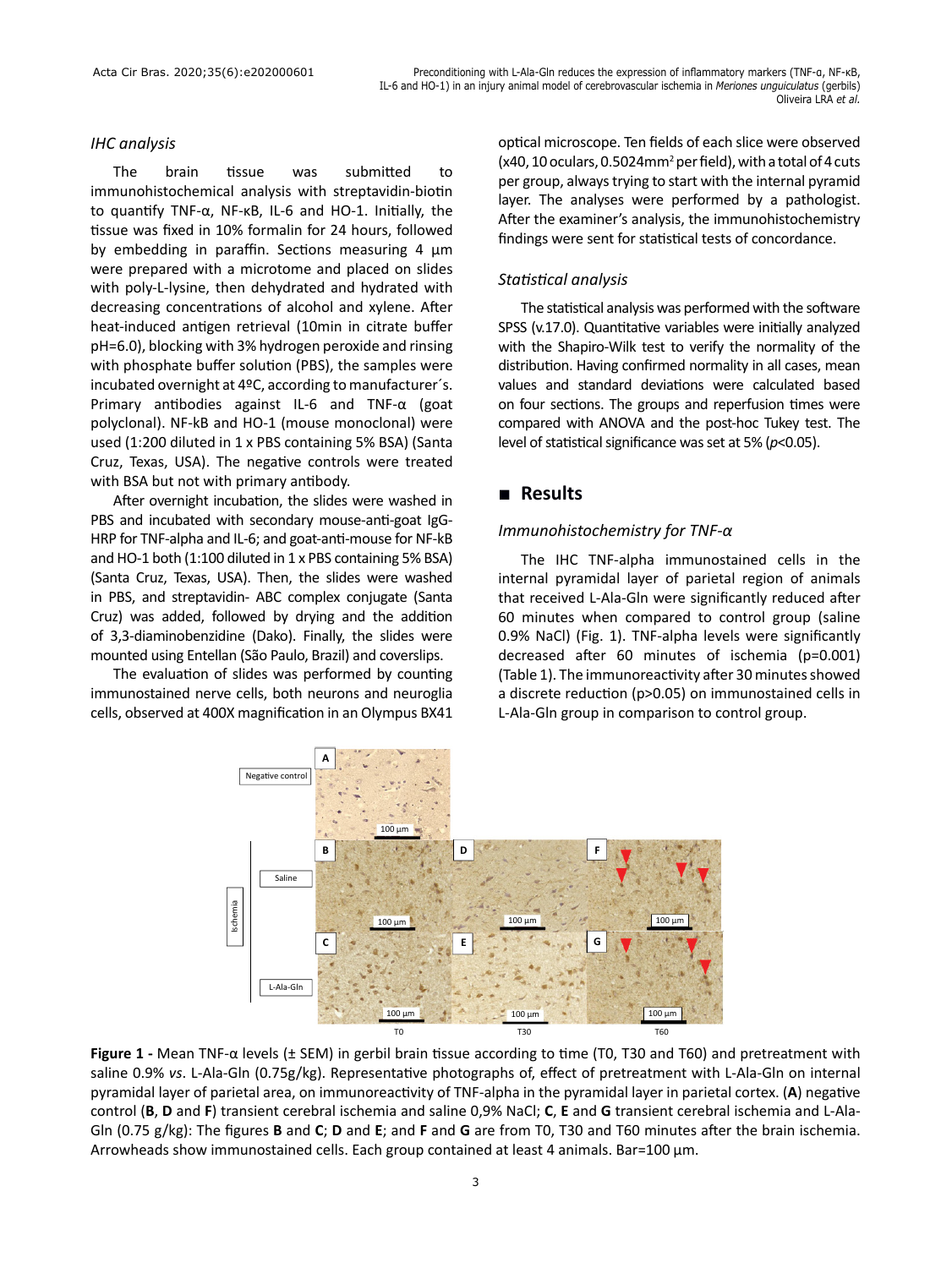#### *IHC analysis*

The brain tissue was submitted to immunohistochemical analysis with streptavidin-biotin to quantify TNF-α, NF-κB, IL-6 and HO-1. Initially, the tissue was fixed in 10% formalin for 24 hours, followed by embedding in paraffin. Sections measuring 4 μm were prepared with a microtome and placed on slides with poly-L-lysine, then dehydrated and hydrated with decreasing concentrations of alcohol and xylene. After heat-induced antigen retrieval (10min in citrate buffer pH=6.0), blocking with 3% hydrogen peroxide and rinsing with phosphate buffer solution (PBS), the samples were incubated overnight at 4ºC, according to manufacturer´s. Primary antibodies against IL-6 and TNF-α (goat polyclonal). NF-kB and HO-1 (mouse monoclonal) were used (1:200 diluted in 1 x PBS containing 5% BSA) (Santa Cruz, Texas, USA). The negative controls were treated with BSA but not with primary antibody.

After overnight incubation, the slides were washed in PBS and incubated with secondary mouse-anti-goat IgG-HRP for TNF-alpha and IL-6; and goat-anti-mouse for NF-kB and HO-1 both (1:100 diluted in 1 x PBS containing 5% BSA) (Santa Cruz, Texas, USA). Then, the slides were washed in PBS, and streptavidin- ABC complex conjugate (Santa Cruz) was added, followed by drying and the addition of 3,3-diaminobenzidine (Dako). Finally, the slides were mounted using Entellan (São Paulo, Brazil) and coverslips.

The evaluation of slides was performed by counting immunostained nerve cells, both neurons and neuroglia cells, observed at 400X magnification in an Olympus BX41 optical microscope. Ten fields of each slice were observed  $(x40, 10$  oculars, 0.5024mm<sup>2</sup> per field), with a total of 4 cuts per group, always trying to start with the internal pyramid layer. The analyses were performed by a pathologist. After the examiner's analysis, the immunohistochemistry findings were sent for statistical tests of concordance.

### *Statistical analysis*

The statistical analysis was performed with the software SPSS (v.17.0). Quantitative variables were initially analyzed with the Shapiro-Wilk test to verify the normality of the distribution. Having confirmed normality in all cases, mean values and standard deviations were calculated based on four sections. The groups and reperfusion times were compared with ANOVA and the post-hoc Tukey test. The level of statistical significance was set at 5% (*p*<0.05).

## **■ Results**

## *Immunohistochemistry for TNF-α*

The IHC TNF-alpha immunostained cells in the internal pyramidal layer of parietal region of animals that received L-Ala-Gln were significantly reduced after 60 minutes when compared to control group (saline 0.9% NaCl) (Fig. 1). TNF-alpha levels were significantly decreased after 60 minutes of ischemia (p=0.001) (Table 1). The immunoreactivity after 30 minutes showed a discrete reduction (p>0.05) on immunostained cells in L-Ala-Gln group in comparison to control group.



**Figure 1 -** Mean TNF-α levels (± SEM) in gerbil brain tissue according to time (T0, T30 and T60) and pretreatment with saline 0.9% *vs*. L-Ala-Gln (0.75g/kg). Representative photographs of, effect of pretreatment with L-Ala-Gln on internal pyramidal layer of parietal area, on immunoreactivity of TNF-alpha in the pyramidal layer in parietal cortex. (**A**) negative control (**B**, **D** and **F**) transient cerebral ischemia and saline 0,9% NaCl; **C**, **E** and **G** transient cerebral ischemia and L-Ala-Gln (0.75 g/kg): The figures **B** and **C**; **D** and **E**; and **F** and **G** are from T0, T30 and T60 minutes after the brain ischemia. Arrowheads show immunostained cells. Each group contained at least 4 animals. Bar=100 µm.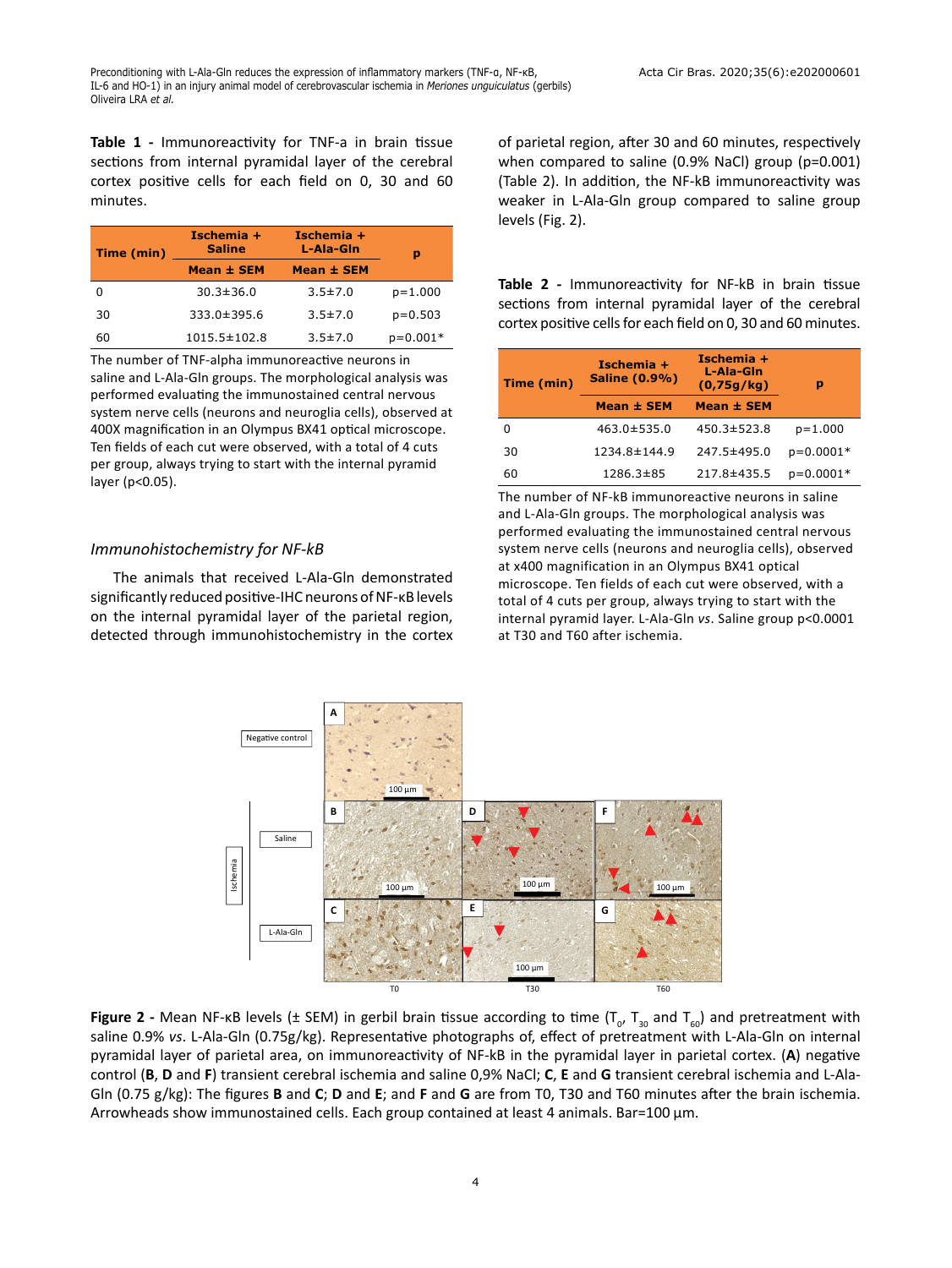**Table 1 -** Immunoreactivity for TNF-a in brain tissue sections from internal pyramidal layer of the cerebral cortex positive cells for each field on 0, 30 and 60 minutes.

| Time (min) | Ischemia $+$<br><b>Saline</b> | Ischemia +<br>L-Ala-Gin | р           |
|------------|-------------------------------|-------------------------|-------------|
|            | Mean ± SEM                    | <b>Mean ± SEM</b>       |             |
|            | $30.3 \pm 36.0$               | $3.5 \pm 7.0$           | $p=1.000$   |
| 30         | 333.0±395.6                   | $3.5 \pm 7.0$           | $p = 0.503$ |
| 60         | $1015.5 \pm 102.8$            | $3.5 \pm 7.0$           | $p=0.001*$  |

The number of TNF-alpha immunoreactive neurons in saline and L-Ala-Gln groups. The morphological analysis was performed evaluating the immunostained central nervous system nerve cells (neurons and neuroglia cells), observed at 400X magnification in an Olympus BX41 optical microscope. Ten fields of each cut were observed, with a total of 4 cuts per group, always trying to start with the internal pyramid layer (p<0.05).

#### *Immunohistochemistry for NF-kB*

The animals that received L-Ala-Gln demonstrated significantly reduced positive-IHC neurons of NF-κB levels on the internal pyramidal layer of the parietal region, detected through immunohistochemistry in the cortex of parietal region, after 30 and 60 minutes, respectively when compared to saline (0.9% NaCl) group (p=0.001) (Table 2). In addition, the NF-kB immunoreactivity was weaker in L-Ala-Gln group compared to saline group levels (Fig. 2).

**Table 2 -** Immunoreactivity for NF-kB in brain tissue sections from internal pyramidal layer of the cerebral cortex positive cells for each field on 0, 30 and 60 minutes.

| Time (min) | Ischemia +<br><b>Saline (0.9%)</b> | Ischemia +<br>L-Ala-Gin<br>(0,75g/kg) | р           |
|------------|------------------------------------|---------------------------------------|-------------|
|            | Mean ± SEM                         | Mean ± SEM                            |             |
|            | $463.0 \pm 535.0$                  | $450.3 \pm 523.8$                     | $p=1.000$   |
| 30         | 1234.8±144.9                       | 247.5±495.0                           | $p=0.0001*$ |
| 60         | 1286.3±85                          | 217.8±435.5                           | $p=0.0001*$ |

The number of NF-kB immunoreactive neurons in saline and L-Ala-Gln groups. The morphological analysis was performed evaluating the immunostained central nervous system nerve cells (neurons and neuroglia cells), observed at x400 magnification in an Olympus BX41 optical microscope. Ten fields of each cut were observed, with a total of 4 cuts per group, always trying to start with the internal pyramid layer. L-Ala-Gln *vs*. Saline group p<0.0001 at T30 and T60 after ischemia.



**Figure 2** - Mean NF-kB levels (± SEM) in gerbil brain tissue according to time (T<sub>o</sub>, T<sub>30</sub> and T<sub>60</sub>) and pretreatment with saline 0.9% *vs*. L-Ala-Gln (0.75g/kg). Representative photographs of, effect of pretreatment with L-Ala-Gln on internal pyramidal layer of parietal area, on immunoreactivity of NF-kB in the pyramidal layer in parietal cortex. (**A**) negative control (**B**, **D** and **F**) transient cerebral ischemia and saline 0,9% NaCl; **C**, **E** and **G** transient cerebral ischemia and L-Ala-Gln (0.75 g/kg): The figures **B** and **C**; **D** and **E**; and **F** and **G** are from T0, T30 and T60 minutes after the brain ischemia. Arrowheads show immunostained cells. Each group contained at least 4 animals. Bar=100 µm.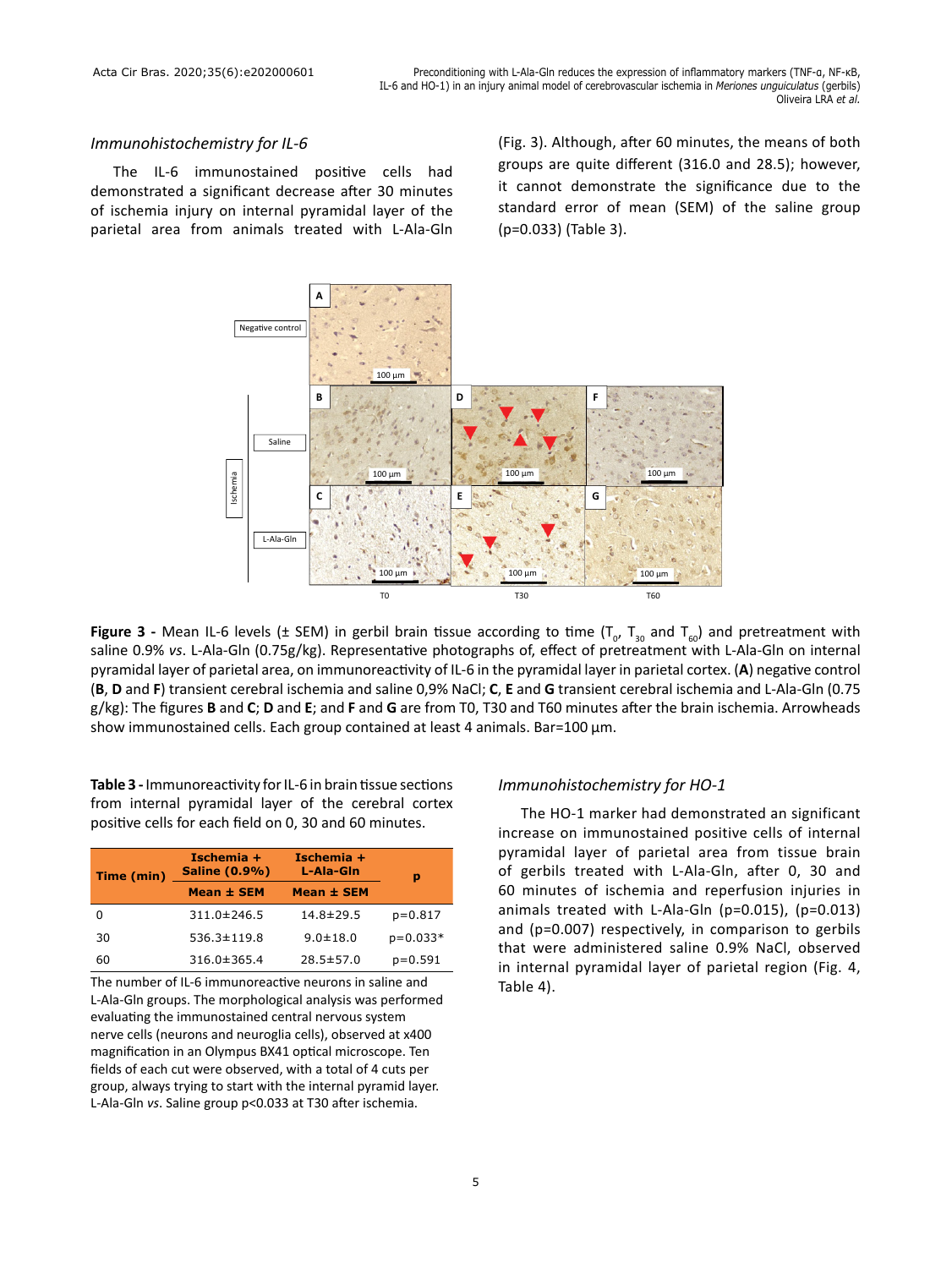#### *Immunohistochemistry for IL-6*

The IL-6 immunostained positive cells had demonstrated a significant decrease after 30 minutes of ischemia injury on internal pyramidal layer of the parietal area from animals treated with L-Ala-Gln (Fig. 3). Although, after 60 minutes, the means of both groups are quite different (316.0 and 28.5); however, it cannot demonstrate the significance due to the standard error of mean (SEM) of the saline group (p=0.033) (Table 3).



Figure 3 - Mean IL-6 levels (± SEM) in gerbil brain tissue according to time (T<sub>o</sub>, T<sub>30</sub> and T<sub>60</sub>) and pretreatment with saline 0.9% *vs*. L-Ala-Gln (0.75g/kg). Representative photographs of, effect of pretreatment with L-Ala-Gln on internal pyramidal layer of parietal area, on immunoreactivity of IL-6 in the pyramidal layer in parietal cortex. (**A**) negative control (**B**, **D** and **F**) transient cerebral ischemia and saline 0,9% NaCl; **C**, **E** and **G** transient cerebral ischemia and L-Ala-Gln (0.75 g/kg): The figures **B** and **C**; **D** and **E**; and **F** and **G** are from T0, T30 and T60 minutes after the brain ischemia. Arrowheads show immunostained cells. Each group contained at least 4 animals. Bar=100 µm.

**Table 3 -** Immunoreactivity for IL-6 in brain tissue sections from internal pyramidal layer of the cerebral cortex positive cells for each field on 0, 30 and 60 minutes.

| Time (min) | Ischemia $+$<br><b>Saline (0.9%)</b> | Ischemia $+$<br>L-Ala-Gin | p          |
|------------|--------------------------------------|---------------------------|------------|
|            | Mean ± SEM                           | Mean ± SEM                |            |
|            | $311.0 \pm 246.5$                    | 14.8±29.5                 | $p=0.817$  |
| 30         | $536.3 \pm 119.8$                    | $9.0 \pm 18.0$            | $p=0.033*$ |
| 60         | $316.0 \pm 365.4$                    | $28.5 \pm 57.0$           | $p=0.591$  |

The number of IL-6 immunoreactive neurons in saline and L-Ala-Gln groups. The morphological analysis was performed evaluating the immunostained central nervous system nerve cells (neurons and neuroglia cells), observed at x400 magnification in an Olympus BX41 optical microscope. Ten fields of each cut were observed, with a total of 4 cuts per group, always trying to start with the internal pyramid layer. L-Ala-Gln *vs*. Saline group p<0.033 at T30 after ischemia.

#### *Immunohistochemistry for HO-1*

The HO-1 marker had demonstrated an significant increase on immunostained positive cells of internal pyramidal layer of parietal area from tissue brain of gerbils treated with L-Ala-Gln, after 0, 30 and 60 minutes of ischemia and reperfusion injuries in animals treated with L-Ala-Gln (p=0.015), (p=0.013) and (p=0.007) respectively, in comparison to gerbils that were administered saline 0.9% NaCl, observed in internal pyramidal layer of parietal region (Fig. 4, Table 4).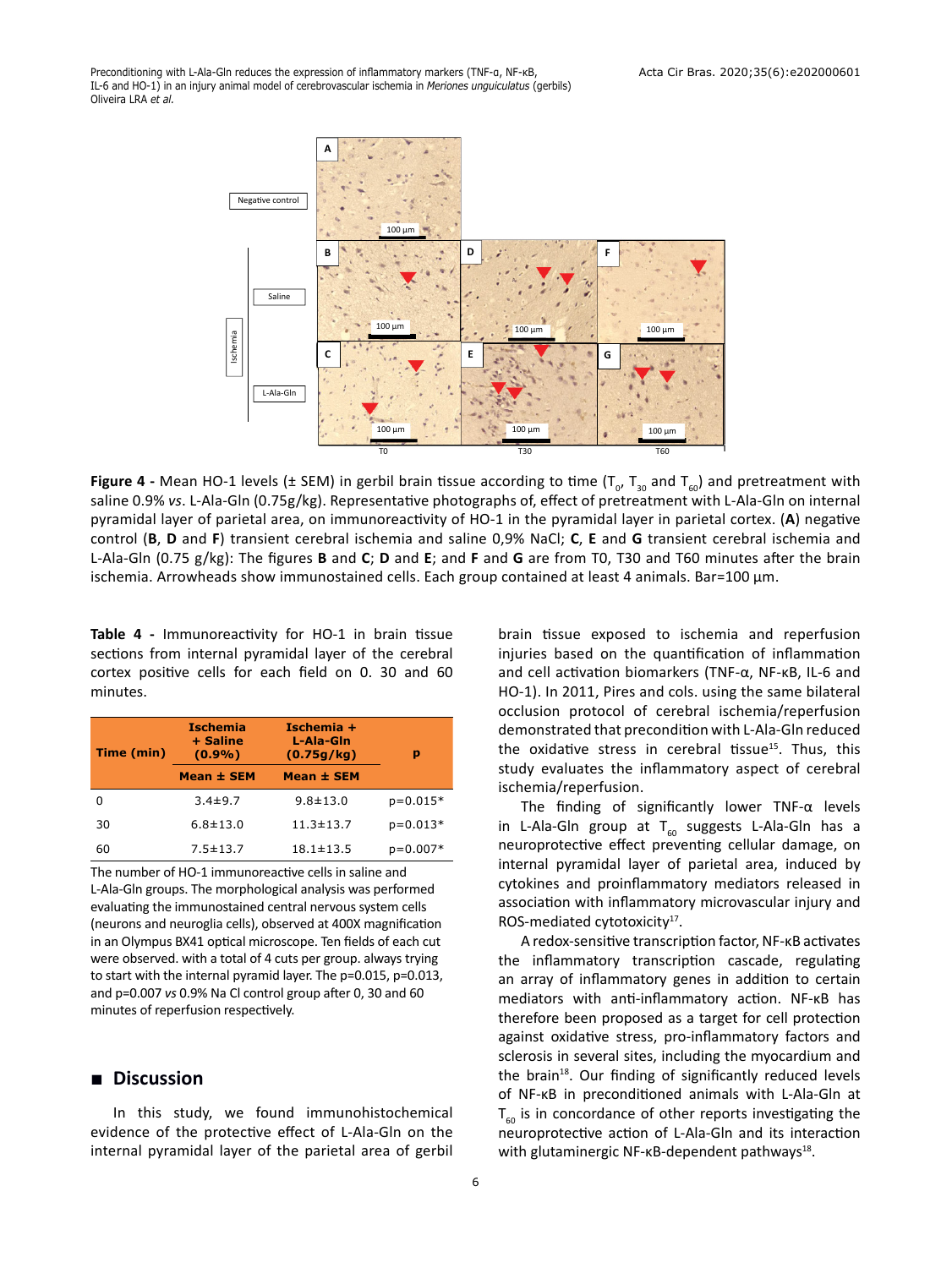Preconditioning with L-Ala-Gln reduces the expression of inflammatory markers (TNF-α, NF-κB, IL-6 and HO-1) in an injury animal model of cerebrovascular ischemia in *Meriones unguiculatus* (gerbils) Oliveira LRA *et al.*



**Figure 4** - Mean HO-1 levels (± SEM) in gerbil brain tissue according to time (T<sub>o</sub>, T<sub>30</sub> and T<sub>60</sub>) and pretreatment with saline 0.9% *vs*. L-Ala-Gln (0.75g/kg). Representative photographs of, effect of pretreatment with L-Ala-Gln on internal pyramidal layer of parietal area, on immunoreactivity of HO-1 in the pyramidal layer in parietal cortex. (**A**) negative control (**B**, **D** and **F**) transient cerebral ischemia and saline 0,9% NaCl; **C**, **E** and **G** transient cerebral ischemia and L-Ala-Gln (0.75 g/kg): The figures **B** and **C**; **D** and **E**; and **F** and **G** are from T0, T30 and T60 minutes after the brain ischemia. Arrowheads show immunostained cells. Each group contained at least 4 animals. Bar=100 µm.

**Table 4 -** Immunoreactivity for HO-1 in brain tissue sections from internal pyramidal layer of the cerebral cortex positive cells for each field on 0. 30 and 60 minutes.

| Time (min) | <b>Ischemia</b><br>+ Saline<br>$(0.9\%)$<br>Mean ± SEM | Ischemia +<br>L-Ala-Gin<br>(0.75q/kg)<br>Mean ± SEM | р          |
|------------|--------------------------------------------------------|-----------------------------------------------------|------------|
| O          | $3.4 \pm 9.7$                                          | $9.8 + 13.0$                                        | $p=0.015*$ |
| 30         | $6.8 + 13.0$                                           | $11.3 \pm 13.7$                                     | $p=0.013*$ |
| 60         | $7.5 \pm 13.7$                                         | $18.1 \pm 13.5$                                     | $p=0.007*$ |

The number of HO-1 immunoreactive cells in saline and L-Ala-Gln groups. The morphological analysis was performed evaluating the immunostained central nervous system cells (neurons and neuroglia cells), observed at 400X magnification in an Olympus BX41 optical microscope. Ten fields of each cut were observed. with a total of 4 cuts per group. always trying to start with the internal pyramid layer. The p=0.015, p=0.013, and p=0.007 *vs* 0.9% Na Cl control group after 0, 30 and 60 minutes of reperfusion respectively.

## **■ Discussion**

In this study, we found immunohistochemical evidence of the protective effect of L-Ala-Gln on the internal pyramidal layer of the parietal area of gerbil brain tissue exposed to ischemia and reperfusion injuries based on the quantification of inflammation and cell activation biomarkers (TNF-α, NF-κB, IL-6 and HO-1). In 2011, Pires and cols. using the same bilateral occlusion protocol of cerebral ischemia/reperfusion demonstrated that precondition with L-Ala-Gln reduced the oxidative stress in cerebral tissue<sup>15</sup>. Thus, this study evaluates the inflammatory aspect of cerebral ischemia/reperfusion.

The finding of significantly lower TNF-α levels in L-Ala-Gln group at  $T_{60}$  suggests L-Ala-Gln has a neuroprotective effect preventing cellular damage, on internal pyramidal layer of parietal area, induced by cytokines and proinflammatory mediators released in association with inflammatory microvascular injury and ROS-mediated cytotoxicity<sup>17</sup>.

A redox-sensitive transcription factor, NF-κB activates the inflammatory transcription cascade, regulating an array of inflammatory genes in addition to certain mediators with anti-inflammatory action. NF-κB has therefore been proposed as a target for cell protection against oxidative stress, pro-inflammatory factors and sclerosis in several sites, including the myocardium and the brain<sup>18</sup>. Our finding of significantly reduced levels of NF-κB in preconditioned animals with L-Ala-Gln at  $T_{60}$  is in concordance of other reports investigating the neuroprotective action of L-Ala-Gln and its interaction with glutaminergic NF-κB-dependent pathways<sup>18</sup>.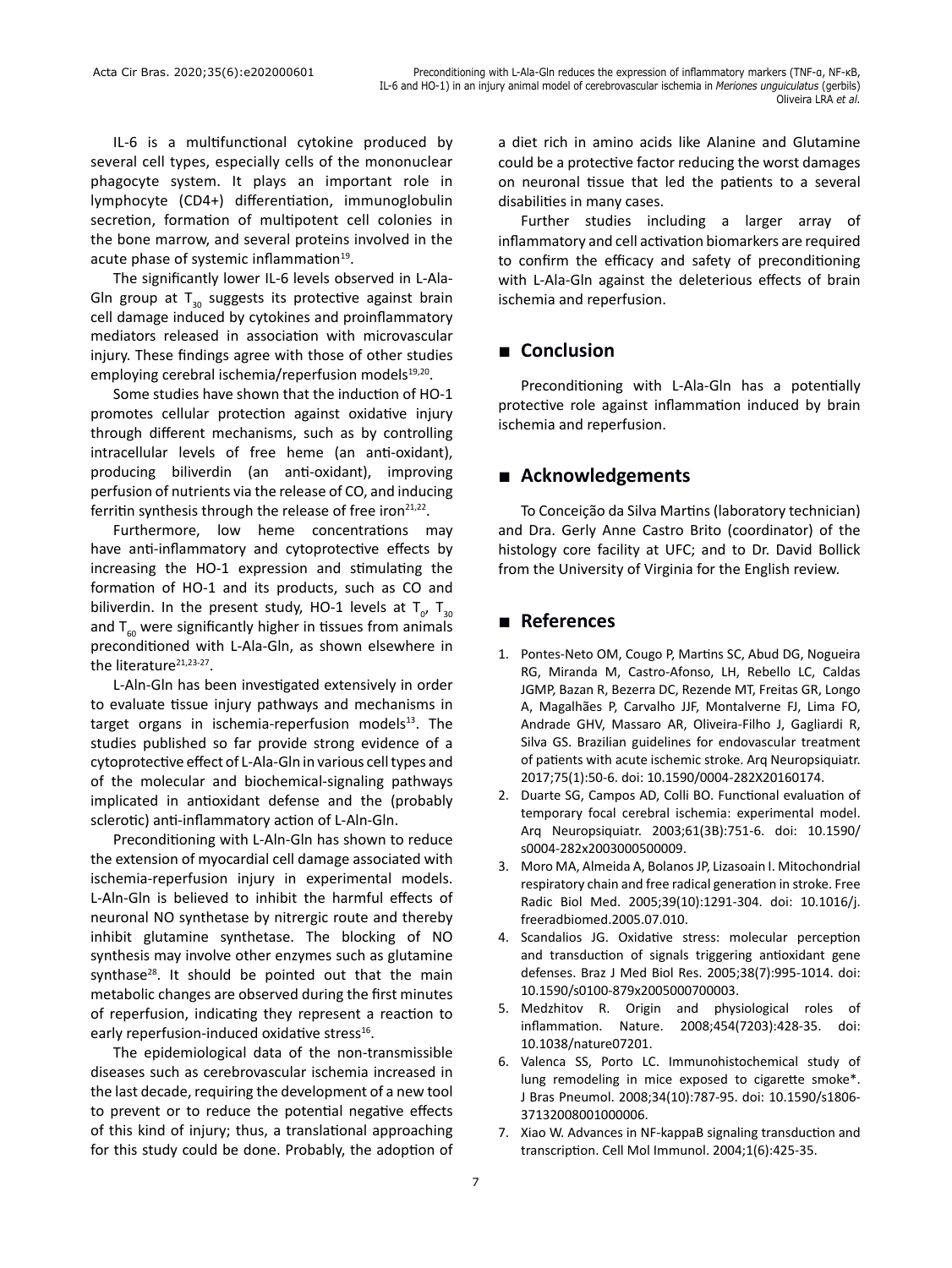IL-6 is a multifunctional cytokine produced by several cell types, especially cells of the mononuclear phagocyte system. It plays an important role in lymphocyte (CD4+) differentiation, immunoglobulin secretion, formation of multipotent cell colonies in the bone marrow, and several proteins involved in the acute phase of systemic inflammation<sup>19</sup>.

The significantly lower IL-6 levels observed in L-Ala-Gln group at  $T_{30}$  suggests its protective against brain cell damage induced by cytokines and proinflammatory mediators released in association with microvascular injury. These findings agree with those of other studies employing cerebral ischemia/reperfusion models<sup>19,20</sup>.

Some studies have shown that the induction of HO-1 promotes cellular protection against oxidative injury through different mechanisms, such as by controlling intracellular levels of free heme (an anti-oxidant), producing biliverdin (an anti-oxidant), improving perfusion of nutrients via the release of CO, and inducing ferritin synthesis through the release of free iron $21,22$ .

Furthermore, low heme concentrations may have anti-inflammatory and cytoprotective effects by increasing the HO-1 expression and stimulating the formation of HO-1 and its products, such as CO and biliverdin. In the present study, HO-1 levels at  $T_{o'}$   $T_{30}$ and  $T_{60}$  were significantly higher in tissues from animals preconditioned with L-Ala-Gln, as shown elsewhere in the literature<sup>21,23-27</sup>.

L-Aln-Gln has been investigated extensively in order to evaluate tissue injury pathways and mechanisms in target organs in ischemia-reperfusion models $13$ . The studies published so far provide strong evidence of a cytoprotective effect of L-Ala-Gln in various cell types and of the molecular and biochemical-signaling pathways implicated in antioxidant defense and the (probably sclerotic) anti-inflammatory action of L-Aln-Gln.

Preconditioning with L-Aln-Gln has shown to reduce the extension of myocardial cell damage associated with ischemia-reperfusion injury in experimental models. L-Aln-Gln is believed to inhibit the harmful effects of neuronal NO synthetase by nitrergic route and thereby inhibit glutamine synthetase. The blocking of NO synthesis may involve other enzymes such as glutamine synthase $^{28}$ . It should be pointed out that the main metabolic changes are observed during the first minutes of reperfusion, indicating they represent a reaction to early reperfusion-induced oxidative stress<sup>16</sup>.

The epidemiological data of the non-transmissible diseases such as cerebrovascular ischemia increased in the last decade, requiring the development of a new tool to prevent or to reduce the potential negative effects of this kind of injury; thus, a translational approaching for this study could be done. Probably, the adoption of a diet rich in amino acids like Alanine and Glutamine could be a protective factor reducing the worst damages on neuronal tissue that led the patients to a several disabilities in many cases.

Further studies including a larger array of inflammatory and cell activation biomarkers are required to confirm the efficacy and safety of preconditioning with L-Ala-Gln against the deleterious effects of brain ischemia and reperfusion.

# **■ Conclusion**

Preconditioning with L-Ala-Gln has a potentially protective role against inflammation induced by brain ischemia and reperfusion.

# **■ Acknowledgements**

To Conceição da Silva Martins (laboratory technician) and Dra. Gerly Anne Castro Brito (coordinator) of the histology core facility at UFC; and to Dr. David Bollick from the University of Virginia for the English review.

# **■ References**

- 1. Pontes-Neto OM, Cougo P, Martins SC, Abud DG, Nogueira RG, Miranda M, Castro-Afonso, LH, Rebello LC, Caldas JGMP, Bazan R, Bezerra DC, Rezende MT, Freitas GR, Longo A, Magalhães P, Carvalho JJF, Montalverne FJ, Lima FO, Andrade GHV, Massaro AR, Oliveira-Filho J, Gagliardi R, Silva GS. Brazilian guidelines for endovascular treatment of patients with acute ischemic stroke. Arq Neuropsiquiatr. 2017;75(1):50-6. doi: 10.1590/0004-282X20160174.
- 2. Duarte SG, Campos AD, Colli BO. Functional evaluation of temporary focal cerebral ischemia: experimental model. Arq Neuropsiquiatr. 2003;61(3B):751-6. doi: 10.1590/ s0004-282x2003000500009.
- 3. Moro MA, Almeida A, Bolanos JP, Lizasoain I. Mitochondrial respiratory chain and free radical generation in stroke. Free Radic Biol Med. 2005;39(10):1291-304. doi: 10.1016/j. freeradbiomed.2005.07.010.
- 4. Scandalios JG. Oxidative stress: molecular perception and transduction of signals triggering antioxidant gene defenses. Braz J Med Biol Res. 2005;38(7):995-1014. doi: 10.1590/s0100-879x2005000700003.
- 5. Medzhitov R. Origin and physiological roles of inflammation. Nature. 2008;454(7203):428-35. doi: 10.1038/nature07201.
- 6. Valenca SS, Porto LC. Immunohistochemical study of lung remodeling in mice exposed to cigarette smoke\*. J Bras Pneumol. 2008;34(10):787-95. doi: 10.1590/s1806- 37132008001000006.
- 7. Xiao W. Advances in NF-kappaB signaling transduction and transcription. Cell Mol Immunol. 2004;1(6):425-35.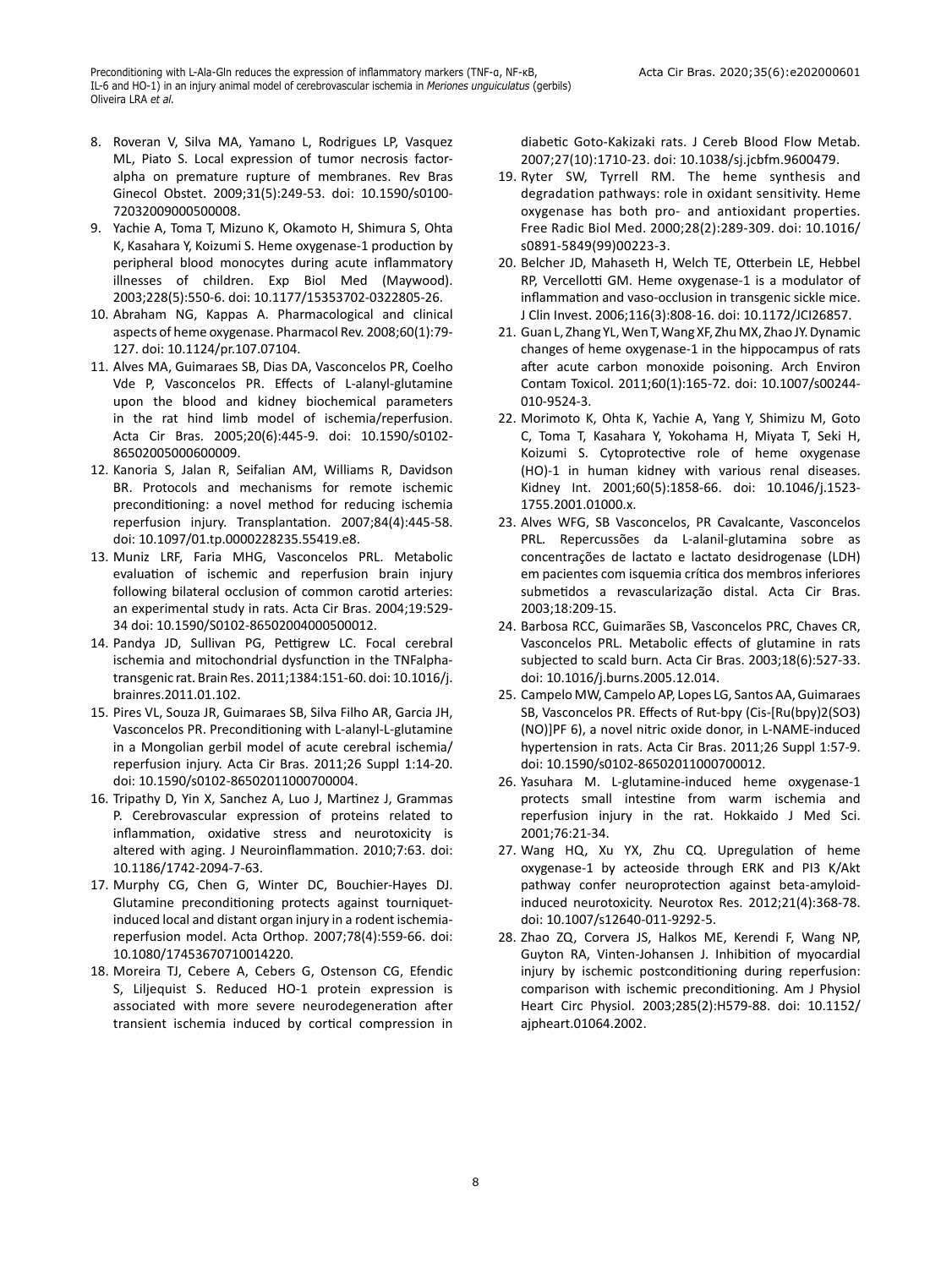- 8. Roveran V, Silva MA, Yamano L, Rodrigues LP, Vasquez ML, Piato S. Local expression of tumor necrosis factoralpha on premature rupture of membranes. Rev Bras Ginecol Obstet. 2009;31(5):249-53. doi: 10.1590/s0100- 72032009000500008.
- 9. Yachie A, Toma T, Mizuno K, Okamoto H, Shimura S, Ohta K, Kasahara Y, Koizumi S. Heme oxygenase-1 production by peripheral blood monocytes during acute inflammatory illnesses of children. Exp Biol Med (Maywood). 2003;228(5):550-6. doi: 10.1177/15353702-0322805-26.
- 10. Abraham NG, Kappas A. Pharmacological and clinical aspects of heme oxygenase. Pharmacol Rev. 2008;60(1):79- 127. doi: 10.1124/pr.107.07104.
- 11. Alves MA, Guimaraes SB, Dias DA, Vasconcelos PR, Coelho Vde P, Vasconcelos PR. Effects of L-alanyl-glutamine upon the blood and kidney biochemical parameters in the rat hind limb model of ischemia/reperfusion. Acta Cir Bras. 2005;20(6):445-9. doi: 10.1590/s0102- 86502005000600009.
- 12. Kanoria S, Jalan R, Seifalian AM, Williams R, Davidson BR. Protocols and mechanisms for remote ischemic preconditioning: a novel method for reducing ischemia reperfusion injury. Transplantation. 2007;84(4):445-58. doi: 10.1097/01.tp.0000228235.55419.e8.
- 13. Muniz LRF, Faria MHG, Vasconcelos PRL. Metabolic evaluation of ischemic and reperfusion brain injury following bilateral occlusion of common carotid arteries: an experimental study in rats. Acta Cir Bras. 2004;19:529- 34 doi: 10.1590/S0102-86502004000500012.
- 14. Pandya JD, Sullivan PG, Pettigrew LC. Focal cerebral ischemia and mitochondrial dysfunction in the TNFalphatransgenic rat. Brain Res. 2011;1384:151-60. doi: 10.1016/j. brainres.2011.01.102.
- 15. Pires VL, Souza JR, Guimaraes SB, Silva Filho AR, Garcia JH, Vasconcelos PR. Preconditioning with L-alanyl-L-glutamine in a Mongolian gerbil model of acute cerebral ischemia/ reperfusion injury. Acta Cir Bras. 2011;26 Suppl 1:14-20. doi: 10.1590/s0102-86502011000700004.
- 16. Tripathy D, Yin X, Sanchez A, Luo J, Martinez J, Grammas P. Cerebrovascular expression of proteins related to inflammation, oxidative stress and neurotoxicity is altered with aging. J Neuroinflammation. 2010;7:63. doi: 10.1186/1742-2094-7-63.
- 17. Murphy CG, Chen G, Winter DC, Bouchier-Hayes DJ. Glutamine preconditioning protects against tourniquetinduced local and distant organ injury in a rodent ischemiareperfusion model. Acta Orthop. 2007;78(4):559-66. doi: 10.1080/17453670710014220.
- 18. Moreira TJ, Cebere A, Cebers G, Ostenson CG, Efendic S, Liljequist S. Reduced HO-1 protein expression is associated with more severe neurodegeneration after transient ischemia induced by cortical compression in

diabetic Goto-Kakizaki rats. J Cereb Blood Flow Metab. 2007;27(10):1710-23. doi: 10.1038/sj.jcbfm.9600479.

- 19. Ryter SW, Tyrrell RM. The heme synthesis and degradation pathways: role in oxidant sensitivity. Heme oxygenase has both pro- and antioxidant properties. Free Radic Biol Med. 2000;28(2):289-309. doi: 10.1016/ s0891-5849(99)00223-3.
- 20. Belcher JD, Mahaseth H, Welch TE, Otterbein LE, Hebbel RP, Vercellotti GM. Heme oxygenase-1 is a modulator of inflammation and vaso-occlusion in transgenic sickle mice. J Clin Invest. 2006;116(3):808-16. doi: 10.1172/JCI26857.
- 21. Guan L, Zhang YL, Wen T, Wang XF, Zhu MX, Zhao JY. Dynamic changes of heme oxygenase-1 in the hippocampus of rats after acute carbon monoxide poisoning. Arch Environ Contam Toxicol. 2011;60(1):165-72. doi: 10.1007/s00244- 010-9524-3.
- 22. Morimoto K, Ohta K, Yachie A, Yang Y, Shimizu M, Goto C, Toma T, Kasahara Y, Yokohama H, Miyata T, Seki H, Koizumi S. Cytoprotective role of heme oxygenase (HO)-1 in human kidney with various renal diseases. Kidney Int. 2001;60(5):1858-66. doi: 10.1046/j.1523- 1755.2001.01000.x.
- 23. Alves WFG, SB Vasconcelos, PR Cavalcante, Vasconcelos PRL. Repercussões da L-alanil-glutamina sobre as concentrações de lactato e lactato desidrogenase (LDH) em pacientes com isquemia crítica dos membros inferiores submetidos a revascularização distal. Acta Cir Bras. 2003;18:209-15.
- 24. Barbosa RCC, Guimarães SB, Vasconcelos PRC, Chaves CR, Vasconcelos PRL. Metabolic effects of glutamine in rats subjected to scald burn. Acta Cir Bras. 2003;18(6):527-33. doi: 10.1016/j.burns.2005.12.014.
- 25. Campelo MW, Campelo AP, Lopes LG, Santos AA, Guimaraes SB, Vasconcelos PR. Effects of Rut-bpy (Cis-[Ru(bpy)2(SO3) (NO)]PF 6), a novel nitric oxide donor, in L-NAME-induced hypertension in rats. Acta Cir Bras. 2011;26 Suppl 1:57-9. doi: 10.1590/s0102-86502011000700012.
- 26. Yasuhara M. L-glutamine-induced heme oxygenase-1 protects small intestine from warm ischemia and reperfusion injury in the rat. Hokkaido J Med Sci. 2001;76:21-34.
- 27. Wang HQ, Xu YX, Zhu CQ. Upregulation of heme oxygenase-1 by acteoside through ERK and PI3 K/Akt pathway confer neuroprotection against beta-amyloidinduced neurotoxicity. Neurotox Res. 2012;21(4):368-78. doi: 10.1007/s12640-011-9292-5.
- 28. Zhao ZQ, Corvera JS, Halkos ME, Kerendi F, Wang NP, Guyton RA, Vinten-Johansen J. Inhibition of myocardial injury by ischemic postconditioning during reperfusion: comparison with ischemic preconditioning. Am J Physiol Heart Circ Physiol. 2003;285(2):H579-88. doi: 10.1152/ ajpheart.01064.2002.